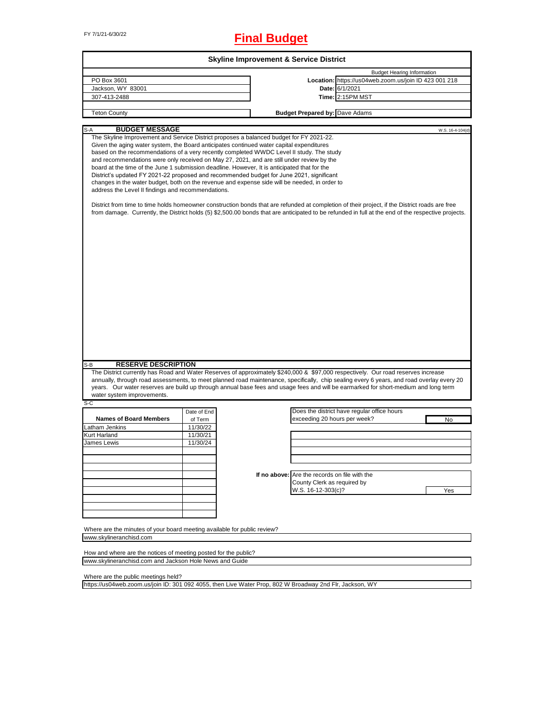# FY 7/1/21-6/30/22 **Final Budget**

| PO Box 3601<br>Jackson, WY 83001<br>Date: 6/1/2021<br>Time: 2:15PM MST<br>307-413-2488<br><b>Budget Prepared by: Dave Adams</b><br><b>Teton County</b><br><b>BUDGET MESSAGE</b><br>S-A<br>The Skyline Improvement and Service District proposes a balanced budget for FY 2021-22.<br>Given the aging water system, the Board anticipates continued water capital expenditures<br>based on the recommendations of a very recently completed WWDC Level II study. The study<br>and recommendations were only received on May 27, 2021, and are still under review by the<br>board at the time of the June 1 submission deadline. However, It is anticipated that for the<br>District's updated FY 2021-22 proposed and recommended budget for June 2021, significant<br>changes in the water budget, both on the revenue and expense side will be needed, in order to<br>address the Level II findings and recommendations.<br>District from time to time holds homeowner construction bonds that are refunded at completion of their project, if the District roads are free<br>from damage. Currently, the District holds (5) \$2,500.00 bonds that are anticipated to be refunded in full at the end of the respective projects.<br><b>RESERVE DESCRIPTION</b><br>S-B<br>The District currently has Road and Water Reserves of approximately \$240,000 & \$97,000 respectively. Our road reserves increase<br>annually, through road assessments, to meet planned road maintenance, specifically, chip sealing every 6 years, and road overlay every 20<br>years. Our water reserves are build up through annual base fees and usage fees and will be earmarked for short-medium and long term<br>water system improvements.<br>$S-C$<br>Does the district have regular office hours<br>Date of End<br><b>Names of Board Members</b><br>exceeding 20 hours per week?<br>of Term<br>Latham Jenkins<br>11/30/22<br>Kurt Harland<br>11/30/21 |  |                                                       |                  |
|--------------------------------------------------------------------------------------------------------------------------------------------------------------------------------------------------------------------------------------------------------------------------------------------------------------------------------------------------------------------------------------------------------------------------------------------------------------------------------------------------------------------------------------------------------------------------------------------------------------------------------------------------------------------------------------------------------------------------------------------------------------------------------------------------------------------------------------------------------------------------------------------------------------------------------------------------------------------------------------------------------------------------------------------------------------------------------------------------------------------------------------------------------------------------------------------------------------------------------------------------------------------------------------------------------------------------------------------------------------------------------------------------------------------------------------------------------------------------------------------------------------------------------------------------------------------------------------------------------------------------------------------------------------------------------------------------------------------------------------------------------------------------------------------------------------------------------------------------------------------------------------------------------------------------------------------|--|-------------------------------------------------------|------------------|
|                                                                                                                                                                                                                                                                                                                                                                                                                                                                                                                                                                                                                                                                                                                                                                                                                                                                                                                                                                                                                                                                                                                                                                                                                                                                                                                                                                                                                                                                                                                                                                                                                                                                                                                                                                                                                                                                                                                                            |  | <b>Budget Hearing Information</b>                     |                  |
|                                                                                                                                                                                                                                                                                                                                                                                                                                                                                                                                                                                                                                                                                                                                                                                                                                                                                                                                                                                                                                                                                                                                                                                                                                                                                                                                                                                                                                                                                                                                                                                                                                                                                                                                                                                                                                                                                                                                            |  | Location: https://us04web.zoom.us/join ID 423 001 218 |                  |
|                                                                                                                                                                                                                                                                                                                                                                                                                                                                                                                                                                                                                                                                                                                                                                                                                                                                                                                                                                                                                                                                                                                                                                                                                                                                                                                                                                                                                                                                                                                                                                                                                                                                                                                                                                                                                                                                                                                                            |  |                                                       |                  |
|                                                                                                                                                                                                                                                                                                                                                                                                                                                                                                                                                                                                                                                                                                                                                                                                                                                                                                                                                                                                                                                                                                                                                                                                                                                                                                                                                                                                                                                                                                                                                                                                                                                                                                                                                                                                                                                                                                                                            |  |                                                       |                  |
|                                                                                                                                                                                                                                                                                                                                                                                                                                                                                                                                                                                                                                                                                                                                                                                                                                                                                                                                                                                                                                                                                                                                                                                                                                                                                                                                                                                                                                                                                                                                                                                                                                                                                                                                                                                                                                                                                                                                            |  |                                                       |                  |
|                                                                                                                                                                                                                                                                                                                                                                                                                                                                                                                                                                                                                                                                                                                                                                                                                                                                                                                                                                                                                                                                                                                                                                                                                                                                                                                                                                                                                                                                                                                                                                                                                                                                                                                                                                                                                                                                                                                                            |  |                                                       |                  |
|                                                                                                                                                                                                                                                                                                                                                                                                                                                                                                                                                                                                                                                                                                                                                                                                                                                                                                                                                                                                                                                                                                                                                                                                                                                                                                                                                                                                                                                                                                                                                                                                                                                                                                                                                                                                                                                                                                                                            |  |                                                       | W.S. 16-4-104(d) |
|                                                                                                                                                                                                                                                                                                                                                                                                                                                                                                                                                                                                                                                                                                                                                                                                                                                                                                                                                                                                                                                                                                                                                                                                                                                                                                                                                                                                                                                                                                                                                                                                                                                                                                                                                                                                                                                                                                                                            |  |                                                       |                  |
|                                                                                                                                                                                                                                                                                                                                                                                                                                                                                                                                                                                                                                                                                                                                                                                                                                                                                                                                                                                                                                                                                                                                                                                                                                                                                                                                                                                                                                                                                                                                                                                                                                                                                                                                                                                                                                                                                                                                            |  |                                                       |                  |
|                                                                                                                                                                                                                                                                                                                                                                                                                                                                                                                                                                                                                                                                                                                                                                                                                                                                                                                                                                                                                                                                                                                                                                                                                                                                                                                                                                                                                                                                                                                                                                                                                                                                                                                                                                                                                                                                                                                                            |  |                                                       |                  |
|                                                                                                                                                                                                                                                                                                                                                                                                                                                                                                                                                                                                                                                                                                                                                                                                                                                                                                                                                                                                                                                                                                                                                                                                                                                                                                                                                                                                                                                                                                                                                                                                                                                                                                                                                                                                                                                                                                                                            |  |                                                       |                  |
|                                                                                                                                                                                                                                                                                                                                                                                                                                                                                                                                                                                                                                                                                                                                                                                                                                                                                                                                                                                                                                                                                                                                                                                                                                                                                                                                                                                                                                                                                                                                                                                                                                                                                                                                                                                                                                                                                                                                            |  |                                                       | No               |
|                                                                                                                                                                                                                                                                                                                                                                                                                                                                                                                                                                                                                                                                                                                                                                                                                                                                                                                                                                                                                                                                                                                                                                                                                                                                                                                                                                                                                                                                                                                                                                                                                                                                                                                                                                                                                                                                                                                                            |  |                                                       |                  |
|                                                                                                                                                                                                                                                                                                                                                                                                                                                                                                                                                                                                                                                                                                                                                                                                                                                                                                                                                                                                                                                                                                                                                                                                                                                                                                                                                                                                                                                                                                                                                                                                                                                                                                                                                                                                                                                                                                                                            |  |                                                       |                  |
| James Lewis<br>11/30/24                                                                                                                                                                                                                                                                                                                                                                                                                                                                                                                                                                                                                                                                                                                                                                                                                                                                                                                                                                                                                                                                                                                                                                                                                                                                                                                                                                                                                                                                                                                                                                                                                                                                                                                                                                                                                                                                                                                    |  |                                                       |                  |
|                                                                                                                                                                                                                                                                                                                                                                                                                                                                                                                                                                                                                                                                                                                                                                                                                                                                                                                                                                                                                                                                                                                                                                                                                                                                                                                                                                                                                                                                                                                                                                                                                                                                                                                                                                                                                                                                                                                                            |  |                                                       |                  |
|                                                                                                                                                                                                                                                                                                                                                                                                                                                                                                                                                                                                                                                                                                                                                                                                                                                                                                                                                                                                                                                                                                                                                                                                                                                                                                                                                                                                                                                                                                                                                                                                                                                                                                                                                                                                                                                                                                                                            |  |                                                       |                  |
|                                                                                                                                                                                                                                                                                                                                                                                                                                                                                                                                                                                                                                                                                                                                                                                                                                                                                                                                                                                                                                                                                                                                                                                                                                                                                                                                                                                                                                                                                                                                                                                                                                                                                                                                                                                                                                                                                                                                            |  |                                                       |                  |
| If no above: Are the records on file with the                                                                                                                                                                                                                                                                                                                                                                                                                                                                                                                                                                                                                                                                                                                                                                                                                                                                                                                                                                                                                                                                                                                                                                                                                                                                                                                                                                                                                                                                                                                                                                                                                                                                                                                                                                                                                                                                                              |  |                                                       |                  |
|                                                                                                                                                                                                                                                                                                                                                                                                                                                                                                                                                                                                                                                                                                                                                                                                                                                                                                                                                                                                                                                                                                                                                                                                                                                                                                                                                                                                                                                                                                                                                                                                                                                                                                                                                                                                                                                                                                                                            |  |                                                       |                  |
| County Clerk as required by                                                                                                                                                                                                                                                                                                                                                                                                                                                                                                                                                                                                                                                                                                                                                                                                                                                                                                                                                                                                                                                                                                                                                                                                                                                                                                                                                                                                                                                                                                                                                                                                                                                                                                                                                                                                                                                                                                                |  |                                                       |                  |
| W.S. 16-12-303(c)?                                                                                                                                                                                                                                                                                                                                                                                                                                                                                                                                                                                                                                                                                                                                                                                                                                                                                                                                                                                                                                                                                                                                                                                                                                                                                                                                                                                                                                                                                                                                                                                                                                                                                                                                                                                                                                                                                                                         |  |                                                       | Yes              |
|                                                                                                                                                                                                                                                                                                                                                                                                                                                                                                                                                                                                                                                                                                                                                                                                                                                                                                                                                                                                                                                                                                                                                                                                                                                                                                                                                                                                                                                                                                                                                                                                                                                                                                                                                                                                                                                                                                                                            |  |                                                       |                  |
|                                                                                                                                                                                                                                                                                                                                                                                                                                                                                                                                                                                                                                                                                                                                                                                                                                                                                                                                                                                                                                                                                                                                                                                                                                                                                                                                                                                                                                                                                                                                                                                                                                                                                                                                                                                                                                                                                                                                            |  |                                                       |                  |
|                                                                                                                                                                                                                                                                                                                                                                                                                                                                                                                                                                                                                                                                                                                                                                                                                                                                                                                                                                                                                                                                                                                                                                                                                                                                                                                                                                                                                                                                                                                                                                                                                                                                                                                                                                                                                                                                                                                                            |  |                                                       |                  |
|                                                                                                                                                                                                                                                                                                                                                                                                                                                                                                                                                                                                                                                                                                                                                                                                                                                                                                                                                                                                                                                                                                                                                                                                                                                                                                                                                                                                                                                                                                                                                                                                                                                                                                                                                                                                                                                                                                                                            |  |                                                       |                  |
| Where are the minutes of your board meeting available for public review?                                                                                                                                                                                                                                                                                                                                                                                                                                                                                                                                                                                                                                                                                                                                                                                                                                                                                                                                                                                                                                                                                                                                                                                                                                                                                                                                                                                                                                                                                                                                                                                                                                                                                                                                                                                                                                                                   |  |                                                       |                  |

How and where are the notices of meeting posted for the public? www.skylineranchisd.com and Jackson Hole News and Guide

Where are the public meetings held?

https://us04web.zoom.us/join ID: 301 092 4055, then Live Water Prop, 802 W Broadway 2nd Flr, Jackson, WY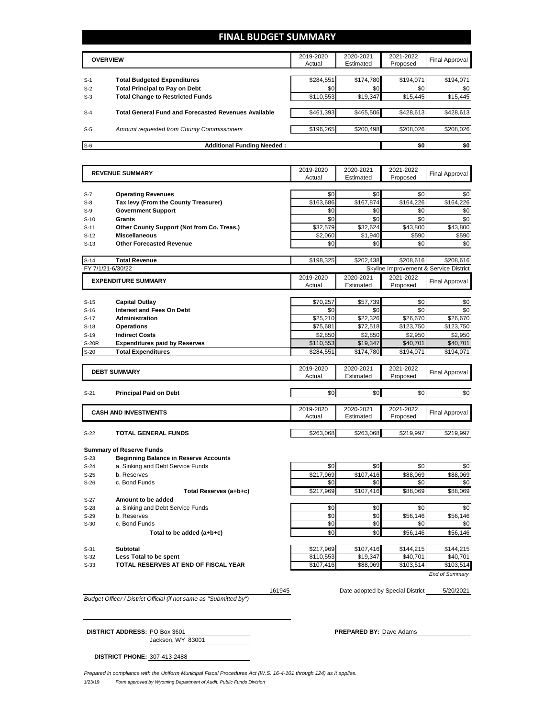# **FINAL BUDGET SUMMARY**

|       | <b>OVERVIEW</b>                                             | 2019-2020<br>Actual | 2020-2021<br>Estimated | 2021-2022<br>Proposed | <b>Final Approval</b> |
|-------|-------------------------------------------------------------|---------------------|------------------------|-----------------------|-----------------------|
|       |                                                             |                     |                        |                       |                       |
| $S-1$ | <b>Total Budgeted Expenditures</b>                          | \$284,551           | \$174,780              | \$194,071             | \$194,071             |
| $S-2$ | <b>Total Principal to Pay on Debt</b>                       | \$0                 | \$0                    | \$0                   | \$0                   |
| $S-3$ | <b>Total Change to Restricted Funds</b>                     | $-$110,553$         | $-$19,347$             | \$15,445              | \$15,445              |
|       |                                                             |                     |                        |                       |                       |
| $S-4$ | <b>Total General Fund and Forecasted Revenues Available</b> | \$461,393           | \$465,506              | \$428,613             | \$428,613             |
|       |                                                             |                     |                        |                       |                       |
| $S-5$ | <b>Amount requested from County Commissioners</b>           | \$196,265           | \$200.498              | \$208.026             | \$208,026             |
|       |                                                             |                     |                        |                       |                       |
| $S-6$ | <b>Additional Funding Needed:</b>                           |                     |                        | \$0                   | \$0                   |

|                   | <b>REVENUE SUMMARY</b>                                                          | 2019-2020           | 2020-2021              | 2021-2022                              | <b>Final Approval</b> |
|-------------------|---------------------------------------------------------------------------------|---------------------|------------------------|----------------------------------------|-----------------------|
|                   |                                                                                 | Actual              | Estimated              | Proposed                               |                       |
|                   |                                                                                 | \$0                 | \$0                    | \$0                                    | \$0                   |
| $S-7$<br>$S-8$    | <b>Operating Revenues</b>                                                       | \$163,686           | \$167,874              | \$164,226                              | \$164,226             |
| $S-9$             | Tax levy (From the County Treasurer)<br><b>Government Support</b>               | \$0                 | \$0                    | \$0                                    | \$0                   |
|                   | <b>Grants</b>                                                                   | \$0                 | \$0                    | \$0                                    | \$0                   |
| $S-10$<br>$S-11$  |                                                                                 | \$32,579            | \$32,624               | \$43,800                               | \$43,800              |
| $S-12$            | Other County Support (Not from Co. Treas.)<br><b>Miscellaneous</b>              | \$2.060             | \$1.940                | \$590                                  | \$590                 |
|                   | <b>Other Forecasted Revenue</b>                                                 |                     |                        |                                        |                       |
| $S-13$            |                                                                                 | \$0                 | \$0                    | \$0                                    | \$0                   |
| $S-14$            | <b>Total Revenue</b>                                                            |                     | \$202,438              | \$208,616                              | \$208,616             |
| FY 7/1/21-6/30/22 |                                                                                 |                     |                        | Skyline Improvement & Service District |                       |
|                   | <b>EXPENDITURE SUMMARY</b>                                                      | 2019-2020           | 2020-2021              | 2021-2022                              | <b>Final Approval</b> |
|                   |                                                                                 | Actual              | Estimated              | Proposed                               |                       |
|                   |                                                                                 |                     |                        |                                        |                       |
| $S-15$            | <b>Capital Outlay</b>                                                           | \$70,257            | \$57,739               | \$0                                    | \$0                   |
| $S-16$            | <b>Interest and Fees On Debt</b>                                                | \$0                 | \$0                    | \$0                                    | \$0                   |
| $S-17$            | <b>Administration</b>                                                           | \$25,210            | \$22,326               | \$26,670                               | \$26,670              |
| $S-18$            | <b>Operations</b>                                                               | \$75,681            | \$72,518               | \$123,750                              | \$123,750             |
| $S-19$            | <b>Indirect Costs</b>                                                           | \$2,850             | \$2,850                | \$2,950                                | \$2,950               |
| S-20R             | <b>Expenditures paid by Reserves</b>                                            | \$110,553           | \$19,347               | \$40,701                               | \$40,701              |
| $S-20$            | <b>Total Expenditures</b>                                                       | \$284,551           | \$174,780              | \$194,071                              | \$194,071             |
|                   |                                                                                 |                     |                        |                                        |                       |
|                   | <b>DEBT SUMMARY</b>                                                             | 2019-2020<br>Actual | 2020-2021<br>Estimated | 2021-2022<br>Proposed                  | <b>Final Approval</b> |
|                   |                                                                                 |                     |                        |                                        |                       |
| $S-21$            | <b>Principal Paid on Debt</b>                                                   | \$0                 | \$0                    | \$0                                    | \$0                   |
|                   |                                                                                 |                     |                        |                                        |                       |
|                   | <b>CASH AND INVESTMENTS</b>                                                     | 2019-2020           | 2020-2021              | 2021-2022                              |                       |
|                   |                                                                                 | Actual              | Estimated              | Proposed                               | <b>Final Approval</b> |
|                   |                                                                                 |                     |                        |                                        |                       |
| $S-22$            | <b>TOTAL GENERAL FUNDS</b>                                                      | \$263,068           | \$263,068              | \$219,997                              | \$219,997             |
|                   |                                                                                 |                     |                        |                                        |                       |
| $S-23$            | <b>Summary of Reserve Funds</b><br><b>Beginning Balance in Reserve Accounts</b> |                     |                        |                                        |                       |
| $S-24$            | a. Sinking and Debt Service Funds                                               | \$0                 | \$0                    | \$0                                    | \$0                   |
| $S-25$            | b. Reserves                                                                     | \$217,969           | \$107,416              | \$88,069                               | \$88,069              |
| $S-26$            | c. Bond Funds                                                                   | \$0                 | \$0                    | \$0                                    | \$0                   |
|                   | Total Reserves (a+b+c)                                                          | \$217,969           | \$107.416              | \$88,069                               | \$88,069              |
| $S-27$            | Amount to be added                                                              |                     |                        |                                        |                       |
| $S-28$            | a. Sinking and Debt Service Funds                                               | \$0                 | \$0                    | \$0                                    | \$0                   |
| $S-29$            | b. Reserves                                                                     | \$0                 | \$0                    | \$56,146                               | \$56,146              |
| $S-30$            | c. Bond Funds                                                                   | \$0                 | \$0                    | \$0                                    | \$0                   |
|                   | Total to be added (a+b+c)                                                       | \$0                 | \$0                    | \$56.146                               | \$56,146              |
|                   |                                                                                 |                     |                        |                                        |                       |
| $S-31$            | Subtotal                                                                        | \$217,969           | \$107,416              | \$144,215                              | \$144,215             |
| $S-32$            | <b>Less Total to be spent</b>                                                   | \$110,553           | \$19,347               | \$40,701                               | \$40,701              |
| $S-33$            | TOTAL RESERVES AT END OF FISCAL YEAR                                            | \$107,416           | $$88,\overline{069}$   | \$103,514                              | \$103,514             |
|                   |                                                                                 |                     |                        |                                        | <b>End of Summary</b> |

5/20/2021 161945 Date adopted by Special District

*Budget Officer / District Official (if not same as "Submitted by")*

| <b>DISTRICT ADDRESS: PO Box 3601</b> | <b>PREPARED BY: Dave Adams</b> |
|--------------------------------------|--------------------------------|
| Jackson, WY 83001                    |                                |

**DISTRICT PHONE:** 307-413-2488

1/23/19 *Form approved by Wyoming Department of Audit, Public Funds Division Prepared in compliance with the Uniform Municipal Fiscal Procedures Act (W.S. 16-4-101 through 124) as it applies.*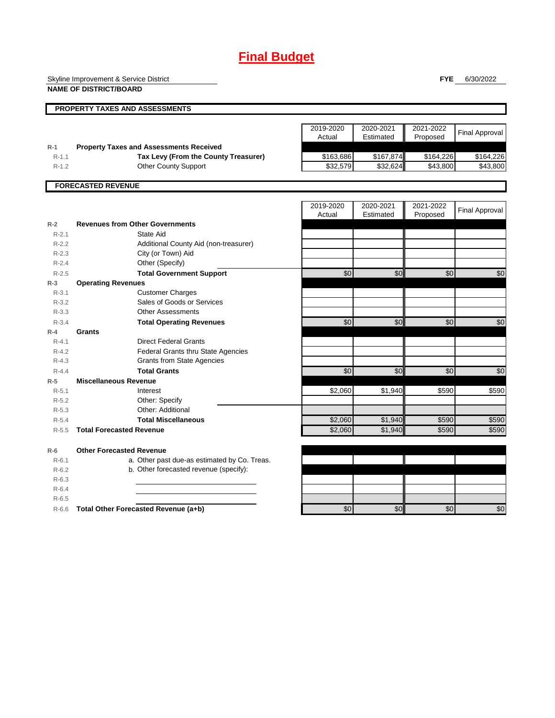# **Final Budget**

Skyline Improvement & Service District

**NAME OF DISTRICT/BOARD**

**FYE** 6/30/2022

|           | PROPERTY TAXES AND ASSESSMENTS                                                         |           |           |           |                       |
|-----------|----------------------------------------------------------------------------------------|-----------|-----------|-----------|-----------------------|
|           |                                                                                        |           |           |           |                       |
|           |                                                                                        | 2019-2020 | 2020-2021 | 2021-2022 | <b>Final Approval</b> |
| $R-1$     |                                                                                        | Actual    | Estimated | Proposed  |                       |
| $R-1.1$   | <b>Property Taxes and Assessments Received</b><br>Tax Levy (From the County Treasurer) | \$163,686 | \$167,874 | \$164,226 | \$164,226             |
| $R-1.2$   | <b>Other County Support</b>                                                            | \$32,579  | \$32,624  | \$43,800  | \$43,800              |
|           |                                                                                        |           |           |           |                       |
|           | <b>FORECASTED REVENUE</b>                                                              |           |           |           |                       |
|           |                                                                                        |           |           |           |                       |
|           |                                                                                        | 2019-2020 | 2020-2021 | 2021-2022 | <b>Final Approval</b> |
|           |                                                                                        | Actual    | Estimated | Proposed  |                       |
| $R-2$     | <b>Revenues from Other Governments</b>                                                 |           |           |           |                       |
| $R-2.1$   | State Aid                                                                              |           |           |           |                       |
| $R-2.2$   | Additional County Aid (non-treasurer)                                                  |           |           |           |                       |
| $R - 2.3$ | City (or Town) Aid                                                                     |           |           |           |                       |
| $R - 2.4$ | Other (Specify)                                                                        |           |           |           |                       |
| $R - 2.5$ | <b>Total Government Support</b>                                                        | \$0       | \$0       | \$0       | \$0                   |
| $R-3$     | <b>Operating Revenues</b>                                                              |           |           |           |                       |
| $R-3.1$   | <b>Customer Charges</b>                                                                |           |           |           |                       |
| $R - 3.2$ | Sales of Goods or Services                                                             |           |           |           |                       |
| $R - 3.3$ | <b>Other Assessments</b>                                                               |           |           |           |                       |
| $R - 3.4$ | <b>Total Operating Revenues</b>                                                        | \$0       | \$0       | \$0       | \$0                   |
| $R-4$     | Grants                                                                                 |           |           |           |                       |
| $R - 4.1$ | <b>Direct Federal Grants</b>                                                           |           |           |           |                       |
| $R - 4.2$ | <b>Federal Grants thru State Agencies</b>                                              |           |           |           |                       |
| $R - 4.3$ | <b>Grants from State Agencies</b>                                                      |           |           |           |                       |
| $R - 4.4$ | <b>Total Grants</b>                                                                    | \$0       | \$0       | \$0       | \$0                   |
| $R-5$     | <b>Miscellaneous Revenue</b>                                                           |           |           |           |                       |
| $R - 5.1$ | Interest                                                                               | \$2,060   | \$1,940   | \$590     | \$590                 |
| $R - 5.2$ | Other: Specify                                                                         |           |           |           |                       |
| $R - 5.3$ | Other: Additional                                                                      |           |           |           |                       |
| $R - 5.4$ | <b>Total Miscellaneous</b>                                                             | \$2,060   | \$1,940   | \$590     | \$590                 |
| $R - 5.5$ | <b>Total Forecasted Revenue</b>                                                        | \$2,060   | \$1,940   | \$590     | \$590                 |
| $R-6$     | <b>Other Forecasted Revenue</b>                                                        |           |           |           |                       |
| $R - 6.1$ | a. Other past due-as estimated by Co. Treas.                                           |           |           |           |                       |
| $R - 6.2$ | b. Other forecasted revenue (specify):                                                 |           |           |           |                       |
| $R-6.3$   |                                                                                        |           |           |           |                       |
| $R-6.4$   |                                                                                        |           |           |           |                       |
| $R - 6.5$ |                                                                                        |           |           |           |                       |
| $R-6.6$   | Total Other Forecasted Revenue (a+b)                                                   | \$0       | \$0       | \$0       | \$0                   |
|           |                                                                                        |           |           |           |                       |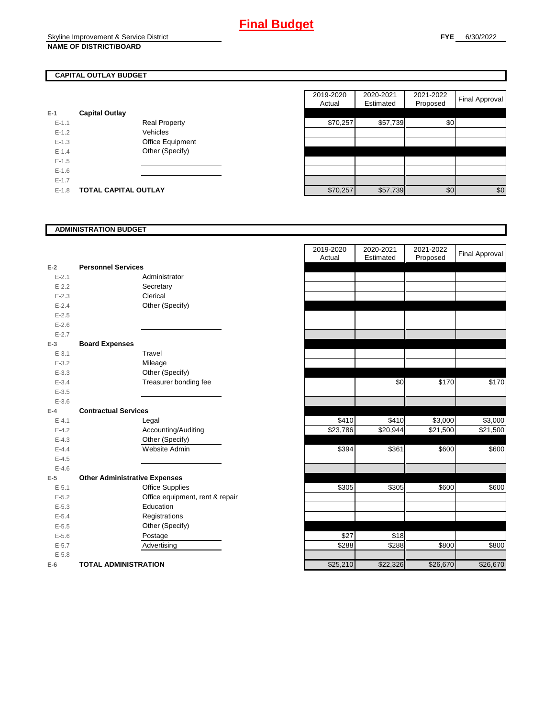# **CAPITAL OUTLAY BUDGET**

| $E-1$     | <b>Capital Outlay</b> |                         |
|-----------|-----------------------|-------------------------|
| $E - 1.1$ |                       | Real Property           |
| $E - 1.2$ |                       | Vehicles                |
| $E - 1.3$ |                       | <b>Office Equipment</b> |
| $F-14$    |                       | Other (Specify)         |
| $F-1.5$   |                       |                         |
| $E - 1.6$ |                       |                         |
| $E - 1.7$ |                       |                         |
| E-1.8     | TOTAL CAPITAL OUTLAY  |                         |

|           |                             |                      | 2019-2020 | 2020-2021 | 2021-2022 |                |
|-----------|-----------------------------|----------------------|-----------|-----------|-----------|----------------|
|           |                             |                      | Actual    | Estimated | Proposed  | Final Approval |
|           | <b>Capital Outlay</b>       |                      |           |           |           |                |
| $E-1.1$   |                             | <b>Real Property</b> | \$70,257  | \$57,739  | \$0       |                |
| $E-1.2$   |                             | Vehicles             |           |           |           |                |
| $E-1.3$   |                             | Office Equipment     |           |           |           |                |
| $E - 1.4$ |                             | Other (Specify)      |           |           |           |                |
| $E-1.5$   |                             |                      |           |           |           |                |
| $E-1.6$   |                             |                      |           |           |           |                |
| $E - 1.7$ |                             |                      |           |           |           |                |
| $E-1.8$   | <b>TOTAL CAPITAL OUTLAY</b> |                      | \$70,257  | \$57,739  | \$0       | \$0            |

### **ADMINISTRATION BUDGET**

|           |                                      |                                 | Actual   | Estimated |
|-----------|--------------------------------------|---------------------------------|----------|-----------|
| $E-2$     | <b>Personnel Services</b>            |                                 |          |           |
| $E - 2.1$ |                                      | Administrator                   |          |           |
| $E - 2.2$ |                                      | Secretary                       |          |           |
| $E - 2.3$ |                                      | Clerical                        |          |           |
| $E - 2.4$ |                                      | Other (Specify)                 |          |           |
| $E - 2.5$ |                                      |                                 |          |           |
| $E - 2.6$ |                                      |                                 |          |           |
| $E - 2.7$ |                                      |                                 |          |           |
| $E-3$     | <b>Board Expenses</b>                |                                 |          |           |
| $E - 3.1$ |                                      | Travel                          |          |           |
| $E - 3.2$ |                                      | Mileage                         |          |           |
| $E - 3.3$ |                                      | Other (Specify)                 |          |           |
| $E - 3.4$ |                                      | Treasurer bonding fee           |          | \$0       |
| $E - 3.5$ |                                      |                                 |          |           |
| $E - 3.6$ |                                      |                                 |          |           |
| $E-4$     | <b>Contractual Services</b>          |                                 |          |           |
| $E - 4.1$ |                                      | Legal                           | \$410    | \$410     |
| $E - 4.2$ |                                      | Accounting/Auditing             | \$23,786 | \$20,944  |
| $E - 4.3$ |                                      | Other (Specify)                 |          |           |
| $E-4.4$   |                                      | Website Admin                   | \$394    | \$361     |
| $E - 4.5$ |                                      |                                 |          |           |
| $E - 4.6$ |                                      |                                 |          |           |
| $E-5$     | <b>Other Administrative Expenses</b> |                                 |          |           |
| $E - 5.1$ |                                      | <b>Office Supplies</b>          | \$305    | \$305     |
| $E - 5.2$ |                                      | Office equipment, rent & repair |          |           |
| $E - 5.3$ |                                      | Education                       |          |           |
| $E - 5.4$ |                                      | Registrations                   |          |           |
| $E - 5.5$ |                                      | Other (Specify)                 |          |           |
| $E - 5.6$ |                                      | Postage                         | \$27     | \$18      |
| $E - 5.7$ |                                      | Advertising                     | \$288    | \$288     |
| $E - 5.8$ |                                      |                                 |          |           |
| $E-6$     | <b>TOTAL ADMINISTRATION</b>          |                                 | \$25,210 | \$22,326  |

|                          |                                      | 2019-2020 | 2020-2021 | 2021-2022 | <b>Final Approval</b> |
|--------------------------|--------------------------------------|-----------|-----------|-----------|-----------------------|
|                          |                                      | Actual    | Estimated | Proposed  |                       |
| $\overline{a}$           | <b>Personnel Services</b>            |           |           |           |                       |
| $E - 2.1$                | Administrator                        |           |           |           |                       |
| $E - 2.2$                | Secretary                            |           |           |           |                       |
| $E - 2.3$                | Clerical                             |           |           |           |                       |
| $E - 2.4$                | Other (Specify)                      |           |           |           |                       |
| $E - 2.5$                |                                      |           |           |           |                       |
| $E - 2.6$                |                                      |           |           |           |                       |
| $E - 2.7$                |                                      |           |           |           |                       |
| $\overline{\phantom{a}}$ | <b>Board Expenses</b>                |           |           |           |                       |
| $E - 3.1$                | Travel                               |           |           |           |                       |
| $E - 3.2$                | Mileage                              |           |           |           |                       |
| $E - 3.3$                | Other (Specify)                      |           |           |           |                       |
| $E - 3.4$                | Treasurer bonding fee                |           | \$0       | \$170     | \$170                 |
| $E - 3.5$                |                                      |           |           |           |                       |
| $E - 3.6$                |                                      |           |           |           |                       |
| Ļ.                       | <b>Contractual Services</b>          |           |           |           |                       |
| $E - 4.1$                | Legal                                | \$410     | \$410     | \$3,000   | \$3,000               |
| $E - 4.2$                | Accounting/Auditing                  | \$23,786  | \$20,944  | \$21,500  | \$21,500              |
| $E - 4.3$                | Other (Specify)                      |           |           |           |                       |
| $E - 4.4$                | Website Admin                        | \$394     | \$361     | \$600     | \$600                 |
| $E - 4.5$                |                                      |           |           |           |                       |
| $E - 4.6$                |                                      |           |           |           |                       |
| 5                        | <b>Other Administrative Expenses</b> |           |           |           |                       |
| $E - 5.1$                | <b>Office Supplies</b>               | \$305     | \$305     | \$600     | \$600                 |
| $E - 5.2$                | Office equipment, rent & repair      |           |           |           |                       |
| $E - 5.3$                | Education                            |           |           |           |                       |
| $E - 5.4$                | Registrations                        |           |           |           |                       |
| $E - 5.5$                | Other (Specify)                      |           |           |           |                       |
| $E - 5.6$                | Postage                              | \$27      | \$18      |           |                       |
| $E - 5.7$                | Advertising                          | \$288     | \$288     | \$800     | \$800                 |
| $E - 5.8$                |                                      |           |           |           |                       |
| ì                        | <b>TOTAL ADMINISTRATION</b>          | \$25,210  | \$22,326  | \$26,670  | \$26,670              |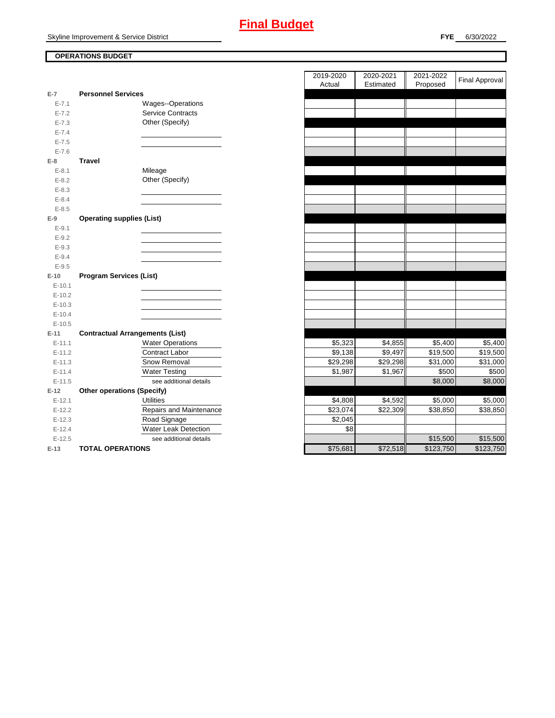## **OPERATIONS BUDGET**

|           |                                        |                          | , www.   |
|-----------|----------------------------------------|--------------------------|----------|
| $E-7$     | <b>Personnel Services</b>              |                          |          |
| $E - 7.1$ |                                        | Wages--Operations        |          |
| $E - 7.2$ |                                        | <b>Service Contracts</b> |          |
| $E - 7.3$ |                                        | Other (Specify)          |          |
| $E - 7.4$ |                                        |                          |          |
| $E - 7.5$ |                                        |                          |          |
| $E - 7.6$ |                                        |                          |          |
| $E-8$     | <b>Travel</b>                          |                          |          |
| $E - 8.1$ |                                        | Mileage                  |          |
| $E - 8.2$ |                                        | Other (Specify)          |          |
| $E - 8.3$ |                                        |                          |          |
| $E - 8.4$ |                                        |                          |          |
| $E - 8.5$ |                                        |                          |          |
| $E-9$     | <b>Operating supplies (List)</b>       |                          |          |
| $E-9.1$   |                                        |                          |          |
| $E - 9.2$ |                                        |                          |          |
| $E - 9.3$ |                                        |                          |          |
| $E - 9.4$ |                                        |                          |          |
| $E - 9.5$ |                                        |                          |          |
| $E-10$    | <b>Program Services (List)</b>         |                          |          |
| $E-10.1$  |                                        |                          |          |
| $E-10.2$  |                                        |                          |          |
| $E-10.3$  |                                        |                          |          |
| $E-10.4$  |                                        |                          |          |
| $E-10.5$  |                                        |                          |          |
| $E-11$    | <b>Contractual Arrangements (List)</b> |                          |          |
| $E-11.1$  |                                        | <b>Water Operations</b>  | \$5,323  |
| $E-11.2$  |                                        | Contract Labor           | \$9,138  |
| $E-11.3$  |                                        | Snow Removal             | \$29,298 |
| $E-11.4$  |                                        | <b>Water Testing</b>     | \$1,987  |
| $E-11.5$  |                                        | see additional details   |          |
| $E-12$    | <b>Other operations (Specify)</b>      |                          |          |
| $E-12.1$  |                                        | <b>Utilities</b>         | \$4,808  |
| $E-12.2$  |                                        | Repairs and Maintenance  | \$23,074 |
| $E-12.3$  |                                        | Road Signage             | \$2,045  |
| $E-12.4$  |                                        | Water Leak Detection     | \$8      |
| $E-12.5$  |                                        | see additional details   |          |
| $E-13$    | <b>TOTAL OPERATIONS</b>                |                          | \$75,681 |

|                |                                        | 2019-2020<br>Actual | 2020-2021<br>Estimated | 2021-2022<br>Proposed | <b>Final Approval</b> |
|----------------|----------------------------------------|---------------------|------------------------|-----------------------|-----------------------|
| $\overline{7}$ | <b>Personnel Services</b>              |                     |                        |                       |                       |
| $E - 7.1$      | Wages--Operations                      |                     |                        |                       |                       |
| $E - 7.2$      | <b>Service Contracts</b>               |                     |                        |                       |                       |
| $E - 7.3$      | Other (Specify)                        |                     |                        |                       |                       |
| $E - 7.4$      |                                        |                     |                        |                       |                       |
| $E - 7.5$      |                                        |                     |                        |                       |                       |
| $E - 7.6$      |                                        |                     |                        |                       |                       |
| 8              | <b>Travel</b>                          |                     |                        |                       |                       |
| $E - 8.1$      | Mileage                                |                     |                        |                       |                       |
| $E - 8.2$      | Other (Specify)                        |                     |                        |                       |                       |
| $E - 8.3$      |                                        |                     |                        |                       |                       |
| $E - 8.4$      |                                        |                     |                        |                       |                       |
| $E - 8.5$      |                                        |                     |                        |                       |                       |
| 9              | <b>Operating supplies (List)</b>       |                     |                        |                       |                       |
| $E - 9.1$      |                                        |                     |                        |                       |                       |
| $E - 9.2$      |                                        |                     |                        |                       |                       |
| $E-9.3$        |                                        |                     |                        |                       |                       |
| $E - 9.4$      |                                        |                     |                        |                       |                       |
| $E - 9.5$      |                                        |                     |                        |                       |                       |
| $10^{\circ}$   | <b>Program Services (List)</b>         |                     |                        |                       |                       |
| $E-10.1$       |                                        |                     |                        |                       |                       |
| $E-10.2$       |                                        |                     |                        |                       |                       |
| $E-10.3$       |                                        |                     |                        |                       |                       |
| $E-10.4$       |                                        |                     |                        |                       |                       |
| $E-10.5$       |                                        |                     |                        |                       |                       |
| $11 -$         | <b>Contractual Arrangements (List)</b> |                     |                        |                       |                       |
| $E-11.1$       | <b>Water Operations</b>                | \$5,323             | \$4,855                | \$5,400               | \$5,400               |
| $E-11.2$       | Contract Labor                         | \$9,138             | \$9,497                | \$19,500              | \$19,500              |
| $E-11.3$       | Snow Removal                           | \$29,298            | \$29,298               | \$31,000              | \$31,000              |
| $E-11.4$       | <b>Water Testing</b>                   | \$1,987             | \$1,967                | \$500                 | \$500                 |
| $E-11.5$       | see additional details                 |                     |                        | \$8,000               | \$8,000               |
| 12             | <b>Other operations (Specify)</b>      |                     |                        |                       |                       |
| $E-12.1$       | <b>Utilities</b>                       | \$4,808             | \$4,592                | \$5,000               | \$5,000               |
| $E-12.2$       | Repairs and Maintenance                | \$23,074            | \$22,309               | \$38,850              | \$38,850              |
| $E-12.3$       | Road Signage                           | \$2,045             |                        |                       |                       |
| $E-12.4$       | Water Leak Detection                   | \$8                 |                        |                       |                       |
| $E-12.5$       | see additional details                 |                     |                        | \$15,500              | \$15,500              |
| $-13$          | <b>TOTAL OPERATIONS</b>                | \$75,681            | \$72,518               | \$123,750             | \$123,750             |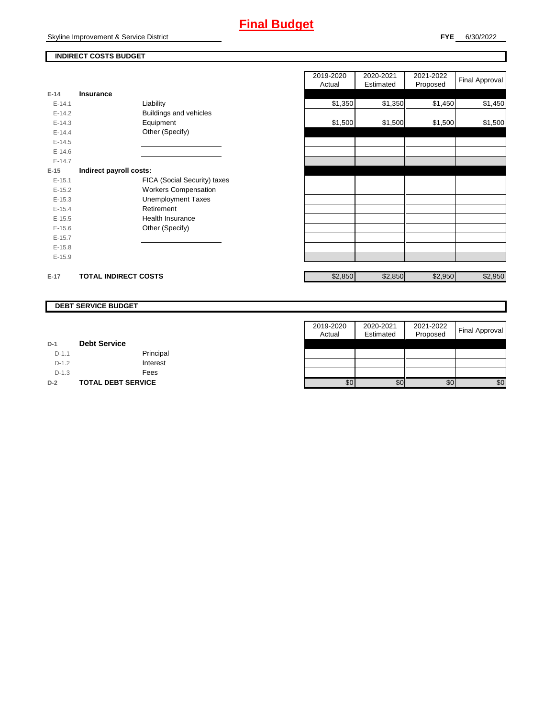# **Final Budget**

Skyline Improvement & Service District

## **INDIRECT COSTS BUDGET**

| E-14       | <b>Insurance</b>            |                               |
|------------|-----------------------------|-------------------------------|
| $E-14.1$   |                             | Liability                     |
| $E-14.2$   |                             | <b>Buildings and vehicles</b> |
| $E-14.3$   |                             | Equipment                     |
| $E-14.4$   |                             | Other (Specify)               |
| $E-14.5$   |                             |                               |
| $E - 14.6$ |                             |                               |
| $F-147$    |                             |                               |
| $E-15$     | Indirect payroll costs:     |                               |
| $F-151$    |                             | FICA (Social Security) taxes  |
| $F-152$    |                             | <b>Workers Compensation</b>   |
| $E-15.3$   |                             | <b>Unemployment Taxes</b>     |
| $E-15.4$   |                             | Retirement                    |
| $E-15.5$   |                             | Health Insurance              |
| $E - 15.6$ |                             | Other (Specify)               |
| $E-15.7$   |                             |                               |
| $E-15.8$   |                             |                               |
| $E-15.9$   |                             |                               |
|            |                             |                               |
| $E-17$     | <b>TOTAL INDIRECT COSTS</b> |                               |

|          |                             |                              | 2019-2020<br>Actual | 2020-2021<br>Estimated | 2021-2022<br>Proposed | <b>Final Approval</b> |
|----------|-----------------------------|------------------------------|---------------------|------------------------|-----------------------|-----------------------|
| 14       | Insurance                   |                              |                     |                        |                       |                       |
| $E-14.1$ |                             | Liability                    | \$1,350             | \$1,350                | \$1,450               | \$1,450               |
| $E-14.2$ |                             | Buildings and vehicles       |                     |                        |                       |                       |
| $E-14.3$ |                             | Equipment                    | \$1,500             | \$1,500                | \$1,500               | \$1,500               |
| $E-14.4$ |                             | Other (Specify)              |                     |                        |                       |                       |
| $E-14.5$ |                             |                              |                     |                        |                       |                       |
| $E-14.6$ |                             |                              |                     |                        |                       |                       |
| $E-14.7$ |                             |                              |                     |                        |                       |                       |
| 15       | Indirect payroll costs:     |                              |                     |                        |                       |                       |
| $E-15.1$ |                             | FICA (Social Security) taxes |                     |                        |                       |                       |
| $E-15.2$ |                             | <b>Workers Compensation</b>  |                     |                        |                       |                       |
| $E-15.3$ |                             | <b>Unemployment Taxes</b>    |                     |                        |                       |                       |
| $E-15.4$ |                             | Retirement                   |                     |                        |                       |                       |
| $E-15.5$ |                             | Health Insurance             |                     |                        |                       |                       |
| $E-15.6$ |                             | Other (Specify)              |                     |                        |                       |                       |
| $E-15.7$ |                             |                              |                     |                        |                       |                       |
| $E-15.8$ |                             |                              |                     |                        |                       |                       |
| $E-15.9$ |                             |                              |                     |                        |                       |                       |
|          |                             |                              |                     |                        |                       |                       |
| 17       | <b>TOTAL INDIRECT COSTS</b> |                              | \$2,850             | \$2,850                | \$2,950               | \$2,950               |

#### **DEBT SERVICE BUDGET**

|         |                           | 2019-2020 | 2020-2021 | 2021-2022 |                       |
|---------|---------------------------|-----------|-----------|-----------|-----------------------|
|         |                           | Actual    | Estimated | Proposed  | <b>Final Approval</b> |
| $D-1$   | <b>Debt Service</b>       |           |           |           |                       |
| $D-1.1$ | Principal                 |           |           |           |                       |
| $D-1.2$ | Interest                  |           |           |           |                       |
| $D-1.3$ | Fees                      |           |           |           |                       |
| $D-2$   | <b>TOTAL DEBT SERVICE</b> | \$0       | \$0       | \$0       | \$0                   |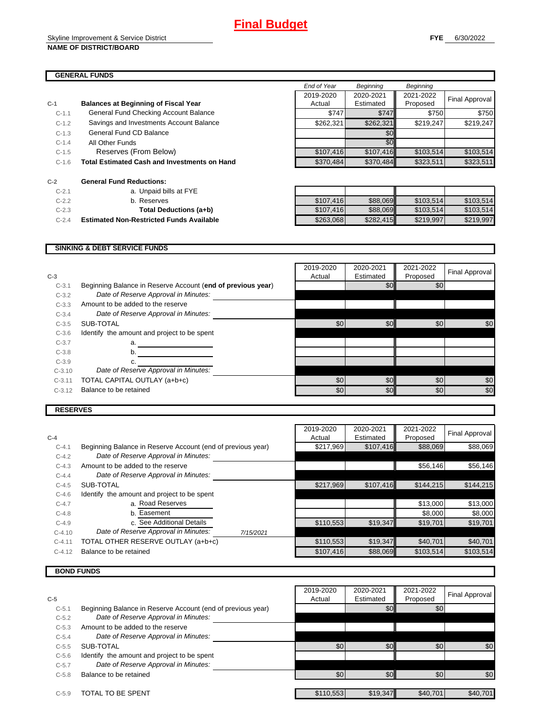|         |                                                     | End of Year | <b>Beginning</b> | <b>Beginning</b> |                |
|---------|-----------------------------------------------------|-------------|------------------|------------------|----------------|
|         |                                                     | 2019-2020   | 2020-2021        | 2021-2022        |                |
| $C-1$   | <b>Balances at Beginning of Fiscal Year</b>         | Actual      | Estimated        | Proposed         | Final Approval |
| $C-1.1$ | General Fund Checking Account Balance               | \$747       | \$747            | \$750            | \$750          |
| $C-1.2$ | Savings and Investments Account Balance             | \$262,321   | \$262,321        | \$219,247        | \$219,247      |
| $C-1.3$ | General Fund CD Balance                             |             | \$0 <sub>1</sub> |                  |                |
| $C-1.4$ | All Other Funds                                     |             | \$0 <sub>1</sub> |                  |                |
| $C-1.5$ | Reserves (From Below)                               | \$107,416   | \$107,416        | \$103,514        | \$103,514      |
| $C-1.6$ | <b>Total Estimated Cash and Investments on Hand</b> | \$370,484   | \$370,484        | \$323,511        | \$323,511      |
|         |                                                     |             |                  |                  |                |
| $C-2$   | <b>General Fund Reductions:</b>                     |             |                  |                  |                |
| $C-2.1$ | a. Unpaid bills at FYE                              |             |                  |                  |                |
| $C-2.2$ | b. Reserves                                         | \$107.416   | \$88,069         | \$103,514        | \$103,514      |

C-2.3 **Total Deductions (a+b)** \$107,416 \$88,069 \$103,514 \$103,514 C-2.4 **Estimated Non-Restricted Funds Available 12.12 \$263,068** \$282,415 \$219,997 \$219,997 \$219,997

#### **SINKING & DEBT SERVICE FUNDS**

| $C-3$    |                                                             | 2019-2020<br>Actual | 2020-2021<br>Estimated | 2021-2022<br>Proposed | Final Approval |
|----------|-------------------------------------------------------------|---------------------|------------------------|-----------------------|----------------|
| $C-3.1$  | Beginning Balance in Reserve Account (end of previous year) |                     | \$0                    | \$0                   |                |
| $C-3.2$  | Date of Reserve Approval in Minutes:                        |                     |                        |                       |                |
| $C-3.3$  | Amount to be added to the reserve                           |                     |                        |                       |                |
| $C-3.4$  | Date of Reserve Approval in Minutes:                        |                     |                        |                       |                |
| $C-3.5$  | SUB-TOTAL                                                   | \$0                 | \$0                    | \$0                   | \$0            |
| $C-3.6$  | Identify the amount and project to be spent                 |                     |                        |                       |                |
| $C-3.7$  | a.                                                          |                     |                        |                       |                |
| $C-3.8$  | b.                                                          |                     |                        |                       |                |
| $C-3.9$  |                                                             |                     |                        |                       |                |
| $C-3.10$ | Date of Reserve Approval in Minutes:                        |                     |                        |                       |                |
| $C-3.11$ | TOTAL CAPITAL OUTLAY (a+b+c)                                | \$0                 | \$0                    | \$0                   | \$0            |
| $C-3.12$ | Balance to be retained                                      | \$0                 | \$0                    | \$0                   | \$0            |
|          |                                                             |                     |                        |                       |                |

## **RESERVES**

|           |                                                             | 2019-2020 | 2020-2021 | 2021-2022 |                       |
|-----------|-------------------------------------------------------------|-----------|-----------|-----------|-----------------------|
| $C-4$     |                                                             | Actual    | Estimated | Proposed  | <b>Final Approval</b> |
| $C-4.1$   | Beginning Balance in Reserve Account (end of previous year) | \$217,969 | \$107,416 | \$88,069  | \$88,069              |
| $C-4.2$   | Date of Reserve Approval in Minutes:                        |           |           |           |                       |
| $C-4.3$   | Amount to be added to the reserve                           |           |           | \$56,146  | \$56,146              |
| $C - 4.4$ | Date of Reserve Approval in Minutes:                        |           |           |           |                       |
| $C-4.5$   | SUB-TOTAL                                                   | \$217,969 | \$107,416 | \$144,215 | \$144.215             |
| $C-4.6$   | Identify the amount and project to be spent                 |           |           |           |                       |
| $C-4.7$   | a. Road Reserves                                            |           |           | \$13,000  | \$13,000              |
| $C-4.8$   | Easement<br>b.                                              |           |           | \$8,000   | \$8,000               |
| $C-4.9$   | c. See Additional Details                                   | \$110,553 | \$19,347  | \$19,701  | \$19,701              |
| $C-4.10$  | Date of Reserve Approval in Minutes:<br>7/15/2021           |           |           |           |                       |
| $C-4.11$  | TOTAL OTHER RESERVE OUTLAY (a+b+c)                          | \$110,553 | \$19,347  | \$40,701  | \$40,701              |
| $C-4.12$  | Balance to be retained                                      | \$107,416 | \$88,069  | \$103,514 | \$103,514             |
|           |                                                             |           |           |           |                       |

# **BOND FUNDS**

|         |                                                             | 2019-2020 | 2020-2021 | 2021-2022 | Final Approval |
|---------|-------------------------------------------------------------|-----------|-----------|-----------|----------------|
| $C-5$   |                                                             | Actual    | Estimated | Proposed  |                |
| $C-5.1$ | Beginning Balance in Reserve Account (end of previous year) |           | \$0       | \$0       |                |
| $C-5.2$ | Date of Reserve Approval in Minutes:                        |           |           |           |                |
| $C-5.3$ | Amount to be added to the reserve                           |           |           |           |                |
| $C-5.4$ | Date of Reserve Approval in Minutes:                        |           |           |           |                |
| $C-5.5$ | SUB-TOTAL                                                   | \$0       | \$0       | \$0       | \$0            |
| $C-5.6$ | Identify the amount and project to be spent                 |           |           |           |                |
| $C-5.7$ | Date of Reserve Approval in Minutes:                        |           |           |           |                |
| $C-5.8$ | Balance to be retained                                      | \$0       | \$0       | \$0       | \$0            |
| $C-5.9$ | TOTAL TO BE SPENT                                           | \$110,553 | \$19,347  | \$40,701  | \$40,701       |